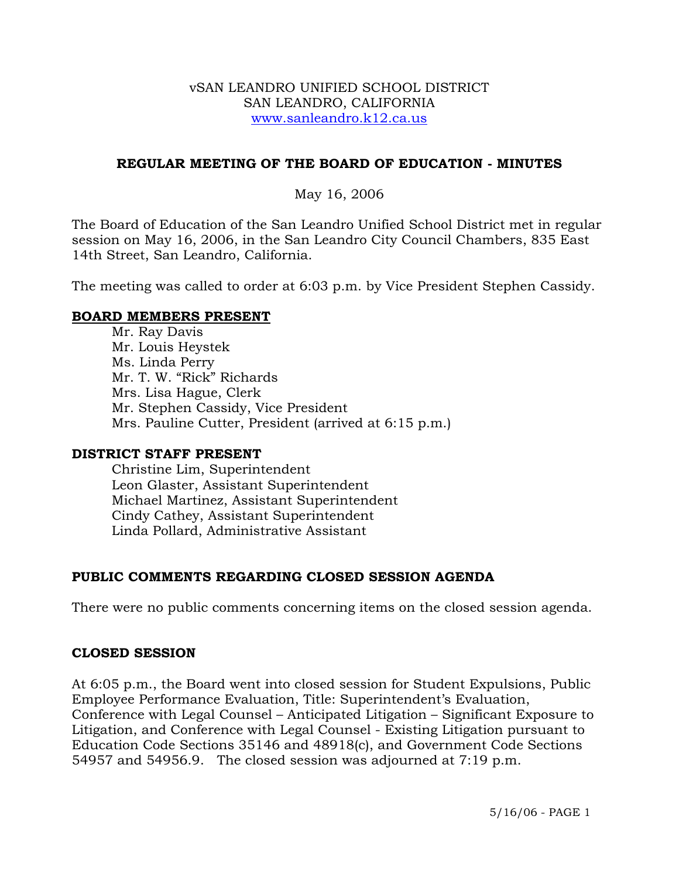#### vSAN LEANDRO UNIFIED SCHOOL DISTRICT SAN LEANDRO, CALIFORNIA www.sanleandro.k12.ca.us

## **REGULAR MEETING OF THE BOARD OF EDUCATION - MINUTES**

### May 16, 2006

The Board of Education of the San Leandro Unified School District met in regular session on May 16, 2006, in the San Leandro City Council Chambers, 835 East 14th Street, San Leandro, California.

The meeting was called to order at 6:03 p.m. by Vice President Stephen Cassidy.

### **BOARD MEMBERS PRESENT**

Mr. Ray Davis Mr. Louis Heystek Ms. Linda Perry Mr. T. W. "Rick" Richards Mrs. Lisa Hague, Clerk Mr. Stephen Cassidy, Vice President Mrs. Pauline Cutter, President (arrived at 6:15 p.m.)

#### **DISTRICT STAFF PRESENT**

Christine Lim, Superintendent Leon Glaster, Assistant Superintendent Michael Martinez, Assistant Superintendent Cindy Cathey, Assistant Superintendent Linda Pollard, Administrative Assistant

# **PUBLIC COMMENTS REGARDING CLOSED SESSION AGENDA**

There were no public comments concerning items on the closed session agenda.

#### **CLOSED SESSION**

At 6:05 p.m., the Board went into closed session for Student Expulsions, Public Employee Performance Evaluation, Title: Superintendent's Evaluation, Conference with Legal Counsel – Anticipated Litigation – Significant Exposure to Litigation, and Conference with Legal Counsel - Existing Litigation pursuant to Education Code Sections 35146 and 48918(c), and Government Code Sections 54957 and 54956.9. The closed session was adjourned at 7:19 p.m.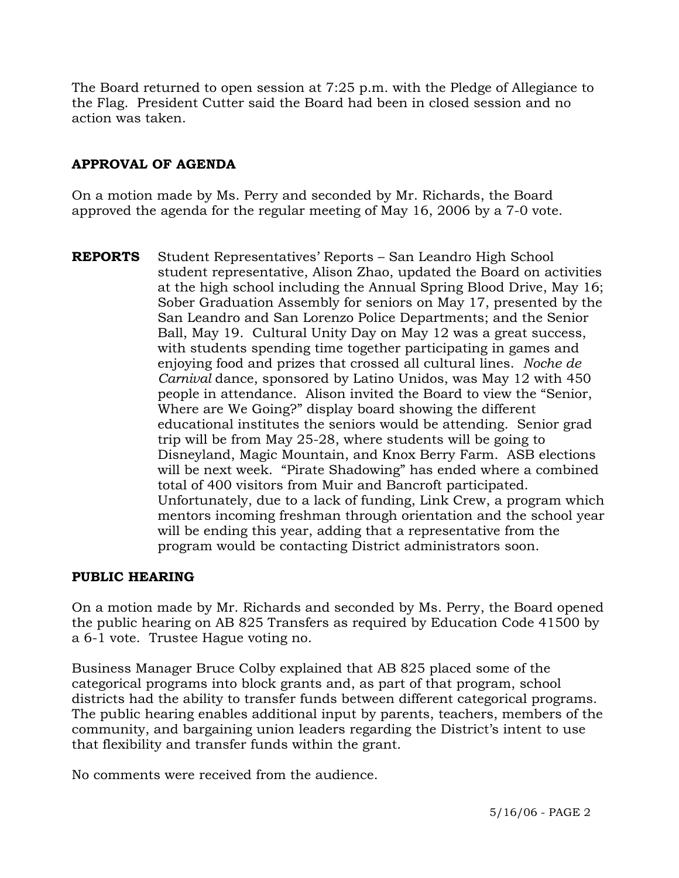The Board returned to open session at 7:25 p.m. with the Pledge of Allegiance to the Flag. President Cutter said the Board had been in closed session and no action was taken.

# **APPROVAL OF AGENDA**

On a motion made by Ms. Perry and seconded by Mr. Richards, the Board approved the agenda for the regular meeting of May 16, 2006 by a 7-0 vote.

**REPORTS** Student Representatives' Reports – San Leandro High School student representative, Alison Zhao, updated the Board on activities at the high school including the Annual Spring Blood Drive, May 16; Sober Graduation Assembly for seniors on May 17, presented by the San Leandro and San Lorenzo Police Departments; and the Senior Ball, May 19. Cultural Unity Day on May 12 was a great success, with students spending time together participating in games and enjoying food and prizes that crossed all cultural lines. *Noche de Carnival* dance, sponsored by Latino Unidos, was May 12 with 450 people in attendance. Alison invited the Board to view the "Senior, Where are We Going?" display board showing the different educational institutes the seniors would be attending. Senior grad trip will be from May 25-28, where students will be going to Disneyland, Magic Mountain, and Knox Berry Farm. ASB elections will be next week. "Pirate Shadowing" has ended where a combined total of 400 visitors from Muir and Bancroft participated. Unfortunately, due to a lack of funding, Link Crew, a program which mentors incoming freshman through orientation and the school year will be ending this year, adding that a representative from the program would be contacting District administrators soon.

# **PUBLIC HEARING**

On a motion made by Mr. Richards and seconded by Ms. Perry, the Board opened the public hearing on AB 825 Transfers as required by Education Code 41500 by a 6-1 vote. Trustee Hague voting no.

Business Manager Bruce Colby explained that AB 825 placed some of the categorical programs into block grants and, as part of that program, school districts had the ability to transfer funds between different categorical programs. The public hearing enables additional input by parents, teachers, members of the community, and bargaining union leaders regarding the District's intent to use that flexibility and transfer funds within the grant.

No comments were received from the audience.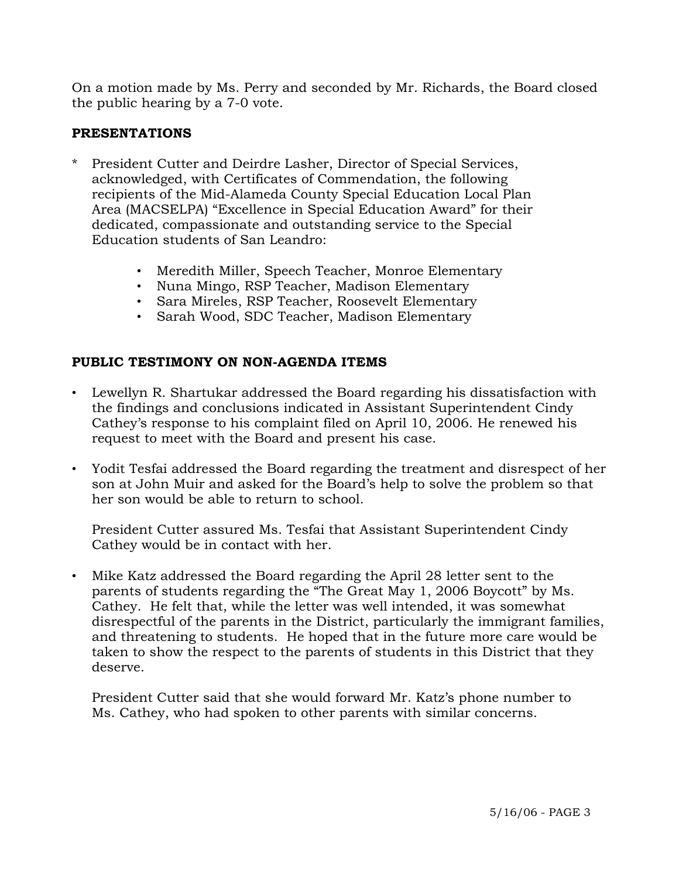On a motion made by Ms. Perry and seconded by Mr. Richards, the Board closed the public hearing by a 7-0 vote.

# **PRESENTATIONS**

- President Cutter and Deirdre Lasher, Director of Special Services, acknowledged, with Certificates of Commendation, the following recipients of the Mid-Alameda County Special Education Local Plan Area (MACSELPA) "Excellence in Special Education Award" for their dedicated, compassionate and outstanding service to the Special Education students of San Leandro:
	- Meredith Miller, Speech Teacher, Monroe Elementary
	- Nuna Mingo, RSP Teacher, Madison Elementary
	- Sara Mireles, RSP Teacher, Roosevelt Elementary
	- Sarah Wood, SDC Teacher, Madison Elementary

# **PUBLIC TESTIMONY ON NON-AGENDA ITEMS**

- Lewellyn R. Shartukar addressed the Board regarding his dissatisfaction with the findings and conclusions indicated in Assistant Superintendent Cindy Cathey's response to his complaint filed on April 10, 2006. He renewed his request to meet with the Board and present his case.
- Yodit Tesfai addressed the Board regarding the treatment and disrespect of her son at John Muir and asked for the Board's help to solve the problem so that her son would be able to return to school.

 President Cutter assured Ms. Tesfai that Assistant Superintendent Cindy Cathey would be in contact with her.

• Mike Katz addressed the Board regarding the April 28 letter sent to the parents of students regarding the "The Great May 1, 2006 Boycott" by Ms. Cathey. He felt that, while the letter was well intended, it was somewhat disrespectful of the parents in the District, particularly the immigrant families, and threatening to students. He hoped that in the future more care would be taken to show the respect to the parents of students in this District that they deserve.

 President Cutter said that she would forward Mr. Katz's phone number to Ms. Cathey, who had spoken to other parents with similar concerns.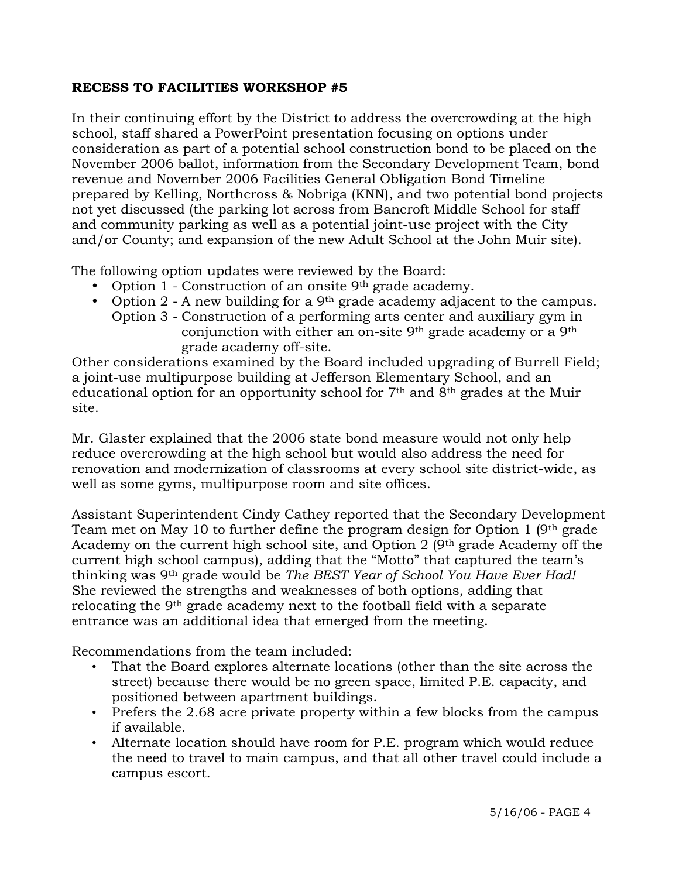# **RECESS TO FACILITIES WORKSHOP #5**

In their continuing effort by the District to address the overcrowding at the high school, staff shared a PowerPoint presentation focusing on options under consideration as part of a potential school construction bond to be placed on the November 2006 ballot, information from the Secondary Development Team, bond revenue and November 2006 Facilities General Obligation Bond Timeline prepared by Kelling, Northcross & Nobriga (KNN), and two potential bond projects not yet discussed (the parking lot across from Bancroft Middle School for staff and community parking as well as a potential joint-use project with the City and/or County; and expansion of the new Adult School at the John Muir site).

The following option updates were reviewed by the Board:

- Option 1 Construction of an onsite  $9<sup>th</sup>$  grade academy.
- Option 2 A new building for a 9<sup>th</sup> grade academy adjacent to the campus. Option 3 - Construction of a performing arts center and auxiliary gym in conjunction with either an on-site 9th grade academy or a 9th grade academy off-site.

Other considerations examined by the Board included upgrading of Burrell Field; a joint-use multipurpose building at Jefferson Elementary School, and an educational option for an opportunity school for  $7<sup>th</sup>$  and  $8<sup>th</sup>$  grades at the Muir site.

Mr. Glaster explained that the 2006 state bond measure would not only help reduce overcrowding at the high school but would also address the need for renovation and modernization of classrooms at every school site district-wide, as well as some gyms, multipurpose room and site offices.

Assistant Superintendent Cindy Cathey reported that the Secondary Development Team met on May 10 to further define the program design for Option 1 (9th grade Academy on the current high school site, and Option 2  $(9<sup>th</sup>$  grade Academy off the current high school campus), adding that the "Motto" that captured the team's thinking was 9th grade would be *The BEST Year of School You Have Ever Had!*  She reviewed the strengths and weaknesses of both options, adding that relocating the 9th grade academy next to the football field with a separate entrance was an additional idea that emerged from the meeting.

Recommendations from the team included:

- That the Board explores alternate locations (other than the site across the street) because there would be no green space, limited P.E. capacity, and positioned between apartment buildings.
- Prefers the 2.68 acre private property within a few blocks from the campus if available.
- Alternate location should have room for P.E. program which would reduce the need to travel to main campus, and that all other travel could include a campus escort.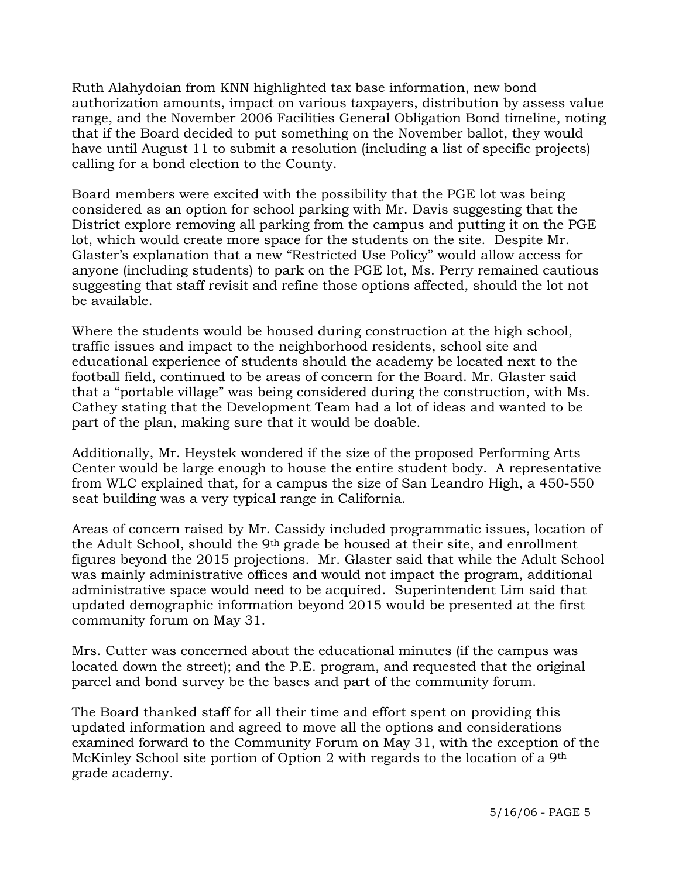Ruth Alahydoian from KNN highlighted tax base information, new bond authorization amounts, impact on various taxpayers, distribution by assess value range, and the November 2006 Facilities General Obligation Bond timeline, noting that if the Board decided to put something on the November ballot, they would have until August 11 to submit a resolution (including a list of specific projects) calling for a bond election to the County.

Board members were excited with the possibility that the PGE lot was being considered as an option for school parking with Mr. Davis suggesting that the District explore removing all parking from the campus and putting it on the PGE lot, which would create more space for the students on the site. Despite Mr. Glaster's explanation that a new "Restricted Use Policy" would allow access for anyone (including students) to park on the PGE lot, Ms. Perry remained cautious suggesting that staff revisit and refine those options affected, should the lot not be available.

Where the students would be housed during construction at the high school, traffic issues and impact to the neighborhood residents, school site and educational experience of students should the academy be located next to the football field, continued to be areas of concern for the Board. Mr. Glaster said that a "portable village" was being considered during the construction, with Ms. Cathey stating that the Development Team had a lot of ideas and wanted to be part of the plan, making sure that it would be doable.

Additionally, Mr. Heystek wondered if the size of the proposed Performing Arts Center would be large enough to house the entire student body. A representative from WLC explained that, for a campus the size of San Leandro High, a 450-550 seat building was a very typical range in California.

Areas of concern raised by Mr. Cassidy included programmatic issues, location of the Adult School, should the 9th grade be housed at their site, and enrollment figures beyond the 2015 projections. Mr. Glaster said that while the Adult School was mainly administrative offices and would not impact the program, additional administrative space would need to be acquired. Superintendent Lim said that updated demographic information beyond 2015 would be presented at the first community forum on May 31.

Mrs. Cutter was concerned about the educational minutes (if the campus was located down the street); and the P.E. program, and requested that the original parcel and bond survey be the bases and part of the community forum.

The Board thanked staff for all their time and effort spent on providing this updated information and agreed to move all the options and considerations examined forward to the Community Forum on May 31, with the exception of the McKinley School site portion of Option 2 with regards to the location of a 9th grade academy.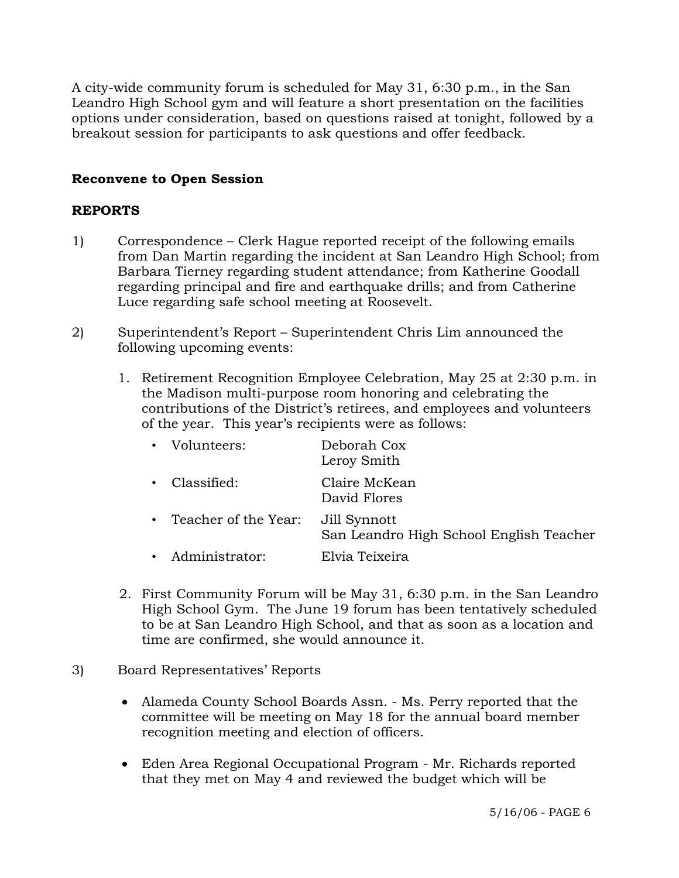A city-wide community forum is scheduled for May 31, 6:30 p.m., in the San Leandro High School gym and will feature a short presentation on the facilities options under consideration, based on questions raised at tonight, followed by a breakout session for participants to ask questions and offer feedback.

# **Reconvene to Open Session**

# **REPORTS**

- 1) Correspondence Clerk Hague reported receipt of the following emails from Dan Martin regarding the incident at San Leandro High School; from Barbara Tierney regarding student attendance; from Katherine Goodall regarding principal and fire and earthquake drills; and from Catherine Luce regarding safe school meeting at Roosevelt.
- 2) Superintendent's Report Superintendent Chris Lim announced the following upcoming events:
	- 1. Retirement Recognition Employee Celebration, May 25 at 2:30 p.m. in the Madison multi-purpose room honoring and celebrating the contributions of the District's retirees, and employees and volunteers of the year. This year's recipients were as follows:

| • Volunteers:          | Deborah Cox<br>Leroy Smith                              |
|------------------------|---------------------------------------------------------|
| • Classified:          | Claire McKean<br>David Flores                           |
| • Teacher of the Year: | Jill Synnott<br>San Leandro High School English Teacher |
| • Administrator:       | Elvia Teixeira                                          |

- 2. First Community Forum will be May 31, 6:30 p.m. in the San Leandro High School Gym. The June 19 forum has been tentatively scheduled to be at San Leandro High School, and that as soon as a location and time are confirmed, she would announce it.
- 3) Board Representatives' Reports
	- Alameda County School Boards Assn. Ms. Perry reported that the committee will be meeting on May 18 for the annual board member recognition meeting and election of officers.
	- Eden Area Regional Occupational Program Mr. Richards reported that they met on May 4 and reviewed the budget which will be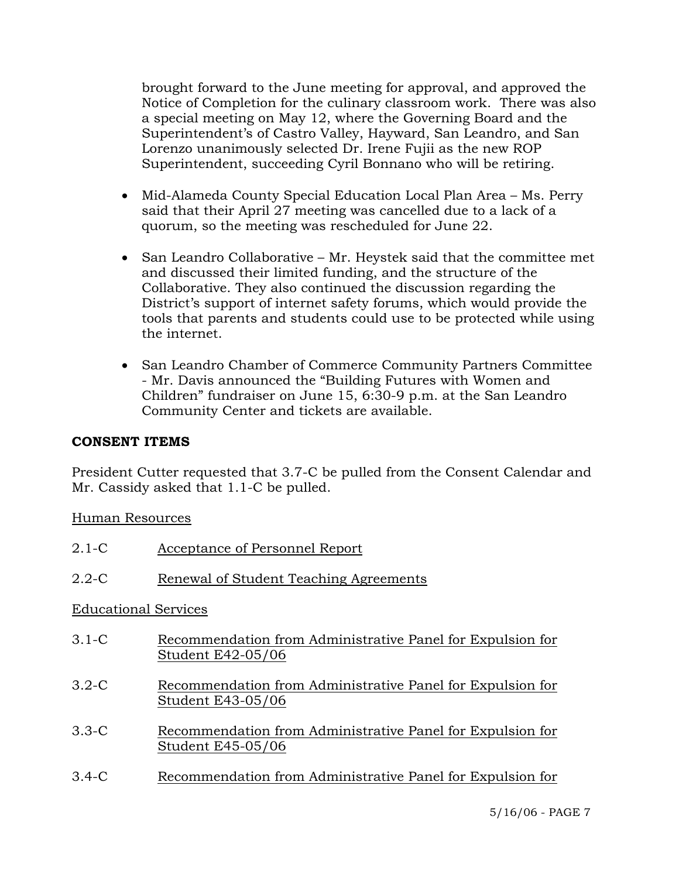brought forward to the June meeting for approval, and approved the Notice of Completion for the culinary classroom work. There was also a special meeting on May 12, where the Governing Board and the Superintendent's of Castro Valley, Hayward, San Leandro, and San Lorenzo unanimously selected Dr. Irene Fujii as the new ROP Superintendent, succeeding Cyril Bonnano who will be retiring.

- Mid-Alameda County Special Education Local Plan Area Ms. Perry said that their April 27 meeting was cancelled due to a lack of a quorum, so the meeting was rescheduled for June 22.
- San Leandro Collaborative Mr. Heystek said that the committee met and discussed their limited funding, and the structure of the Collaborative. They also continued the discussion regarding the District's support of internet safety forums, which would provide the tools that parents and students could use to be protected while using the internet.
- San Leandro Chamber of Commerce Community Partners Committee - Mr. Davis announced the "Building Futures with Women and Children" fundraiser on June 15, 6:30-9 p.m. at the San Leandro Community Center and tickets are available.

# **CONSENT ITEMS**

President Cutter requested that 3.7-C be pulled from the Consent Calendar and Mr. Cassidy asked that 1.1-C be pulled.

Human Resources

| $2.1-C$                     | Acceptance of Personnel Report                                                  |  |  |  |  |  |
|-----------------------------|---------------------------------------------------------------------------------|--|--|--|--|--|
| $2.2 - C$                   | Renewal of Student Teaching Agreements                                          |  |  |  |  |  |
| <b>Educational Services</b> |                                                                                 |  |  |  |  |  |
| $3.1 - C$                   | Recommendation from Administrative Panel for Expulsion for<br>Student E42-05/06 |  |  |  |  |  |
| $3.2-C$                     | Recommendation from Administrative Panel for Expulsion for<br>Student E43-05/06 |  |  |  |  |  |
| $3.3 - C$                   | Recommendation from Administrative Panel for Expulsion for<br>Student E45-05/06 |  |  |  |  |  |
| $3.4 - C$                   | Recommendation from Administrative Panel for Expulsion for                      |  |  |  |  |  |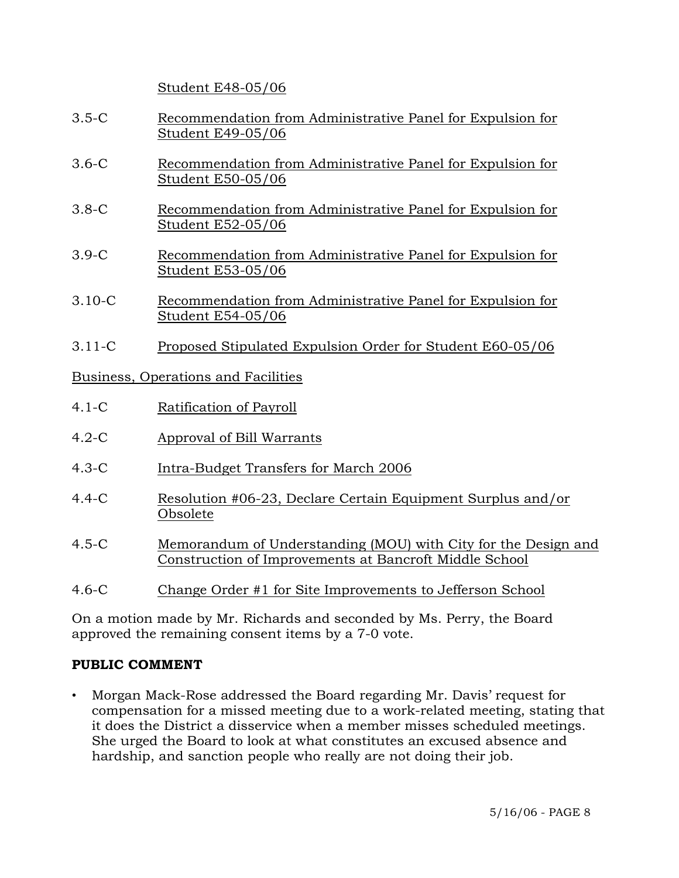Student E48-05/06

- 3.5-C Recommendation from Administrative Panel for Expulsion for Student E49-05/06
- 3.6-C Recommendation from Administrative Panel for Expulsion for Student E50-05/06
- 3.8-C Recommendation from Administrative Panel for Expulsion for Student E52-05/06
- 3.9-C Recommendation from Administrative Panel for Expulsion for Student E53-05/06
- 3.10-C Recommendation from Administrative Panel for Expulsion for Student E54-05/06
- 3.11-C Proposed Stipulated Expulsion Order for Student E60-05/06

Business, Operations and Facilities

- 4.1-C Ratification of Payroll
- 4.2-C Approval of Bill Warrants
- 4.3-C Intra-Budget Transfers for March 2006
- 4.4-C Resolution #06-23, Declare Certain Equipment Surplus and/or Obsolete
- 4.5-C Memorandum of Understanding (MOU) with City for the Design and Construction of Improvements at Bancroft Middle School
- 4.6-C Change Order #1 for Site Improvements to Jefferson School

On a motion made by Mr. Richards and seconded by Ms. Perry, the Board approved the remaining consent items by a 7-0 vote.

# **PUBLIC COMMENT**

• Morgan Mack-Rose addressed the Board regarding Mr. Davis' request for compensation for a missed meeting due to a work-related meeting, stating that it does the District a disservice when a member misses scheduled meetings. She urged the Board to look at what constitutes an excused absence and hardship, and sanction people who really are not doing their job.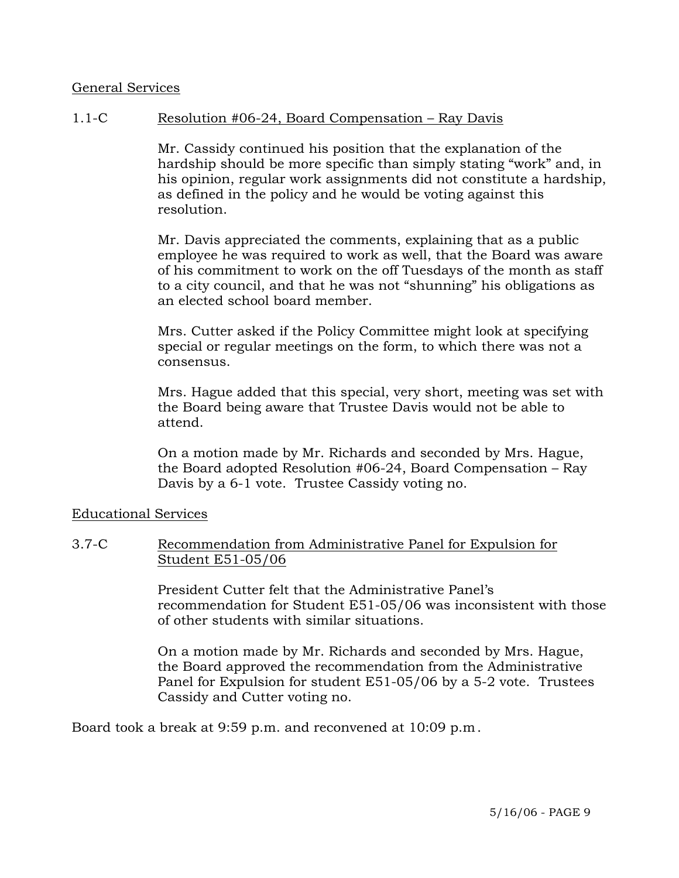### General Services

# 1.1-C Resolution #06-24, Board Compensation – Ray Davis

Mr. Cassidy continued his position that the explanation of the hardship should be more specific than simply stating "work" and, in his opinion, regular work assignments did not constitute a hardship, as defined in the policy and he would be voting against this resolution.

Mr. Davis appreciated the comments, explaining that as a public employee he was required to work as well, that the Board was aware of his commitment to work on the off Tuesdays of the month as staff to a city council, and that he was not "shunning" his obligations as an elected school board member.

Mrs. Cutter asked if the Policy Committee might look at specifying special or regular meetings on the form, to which there was not a consensus.

Mrs. Hague added that this special, very short, meeting was set with the Board being aware that Trustee Davis would not be able to attend.

On a motion made by Mr. Richards and seconded by Mrs. Hague, the Board adopted Resolution #06-24, Board Compensation – Ray Davis by a 6-1 vote. Trustee Cassidy voting no.

Educational Services

### 3.7-C Recommendation from Administrative Panel for Expulsion for Student E51-05/06

President Cutter felt that the Administrative Panel's recommendation for Student E51-05/06 was inconsistent with those of other students with similar situations.

On a motion made by Mr. Richards and seconded by Mrs. Hague, the Board approved the recommendation from the Administrative Panel for Expulsion for student E51-05/06 by a 5-2 vote. Trustees Cassidy and Cutter voting no.

Board took a break at 9:59 p.m. and reconvened at 10:09 p.m.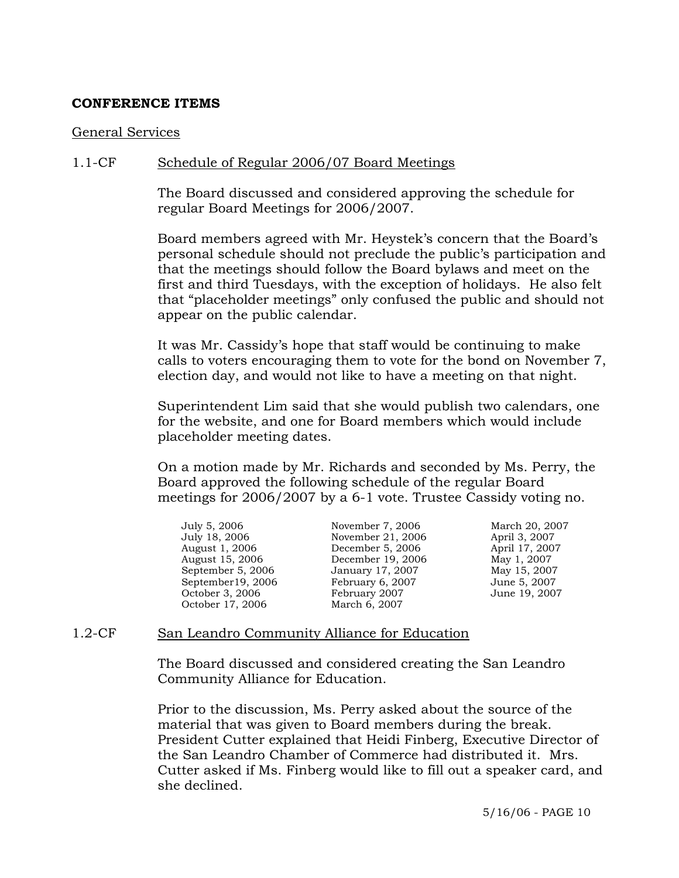#### **CONFERENCE ITEMS**

#### General Services

### 1.1-CF Schedule of Regular 2006/07 Board Meetings

The Board discussed and considered approving the schedule for regular Board Meetings for 2006/2007.

Board members agreed with Mr. Heystek's concern that the Board's personal schedule should not preclude the public's participation and that the meetings should follow the Board bylaws and meet on the first and third Tuesdays, with the exception of holidays. He also felt that "placeholder meetings" only confused the public and should not appear on the public calendar.

It was Mr. Cassidy's hope that staff would be continuing to make calls to voters encouraging them to vote for the bond on November 7, election day, and would not like to have a meeting on that night.

Superintendent Lim said that she would publish two calendars, one for the website, and one for Board members which would include placeholder meeting dates.

On a motion made by Mr. Richards and seconded by Ms. Perry, the Board approved the following schedule of the regular Board meetings for 2006/2007 by a 6-1 vote. Trustee Cassidy voting no.

| July 5, 2006      | November 7, 2006  | March 20, 2007 |
|-------------------|-------------------|----------------|
| July 18, 2006     | November 21, 2006 | April 3, 2007  |
| August 1, 2006    | December 5, 2006  | April 17, 2007 |
| August 15, 2006   | December 19, 2006 | May 1, 2007    |
| September 5, 2006 | January 17, 2007  | May 15, 2007   |
| September19, 2006 | February 6, 2007  | June 5, 2007   |
| October 3, 2006   | February 2007     | June 19, 2007  |
| October 17, 2006  | March 6, 2007     |                |
|                   |                   |                |

#### 1.2-CF San Leandro Community Alliance for Education

The Board discussed and considered creating the San Leandro Community Alliance for Education.

Prior to the discussion, Ms. Perry asked about the source of the material that was given to Board members during the break. President Cutter explained that Heidi Finberg, Executive Director of the San Leandro Chamber of Commerce had distributed it. Mrs. Cutter asked if Ms. Finberg would like to fill out a speaker card, and she declined.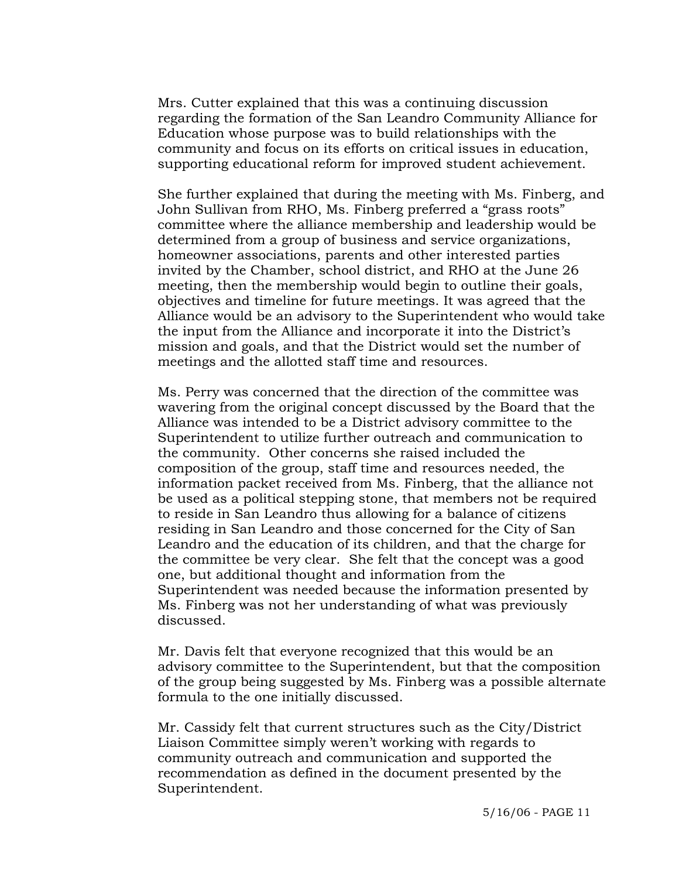Mrs. Cutter explained that this was a continuing discussion regarding the formation of the San Leandro Community Alliance for Education whose purpose was to build relationships with the community and focus on its efforts on critical issues in education, supporting educational reform for improved student achievement.

She further explained that during the meeting with Ms. Finberg, and John Sullivan from RHO, Ms. Finberg preferred a "grass roots" committee where the alliance membership and leadership would be determined from a group of business and service organizations, homeowner associations, parents and other interested parties invited by the Chamber, school district, and RHO at the June 26 meeting, then the membership would begin to outline their goals, objectives and timeline for future meetings. It was agreed that the Alliance would be an advisory to the Superintendent who would take the input from the Alliance and incorporate it into the District's mission and goals, and that the District would set the number of meetings and the allotted staff time and resources.

Ms. Perry was concerned that the direction of the committee was wavering from the original concept discussed by the Board that the Alliance was intended to be a District advisory committee to the Superintendent to utilize further outreach and communication to the community. Other concerns she raised included the composition of the group, staff time and resources needed, the information packet received from Ms. Finberg, that the alliance not be used as a political stepping stone, that members not be required to reside in San Leandro thus allowing for a balance of citizens residing in San Leandro and those concerned for the City of San Leandro and the education of its children, and that the charge for the committee be very clear. She felt that the concept was a good one, but additional thought and information from the Superintendent was needed because the information presented by Ms. Finberg was not her understanding of what was previously discussed.

Mr. Davis felt that everyone recognized that this would be an advisory committee to the Superintendent, but that the composition of the group being suggested by Ms. Finberg was a possible alternate formula to the one initially discussed.

Mr. Cassidy felt that current structures such as the City/District Liaison Committee simply weren't working with regards to community outreach and communication and supported the recommendation as defined in the document presented by the Superintendent.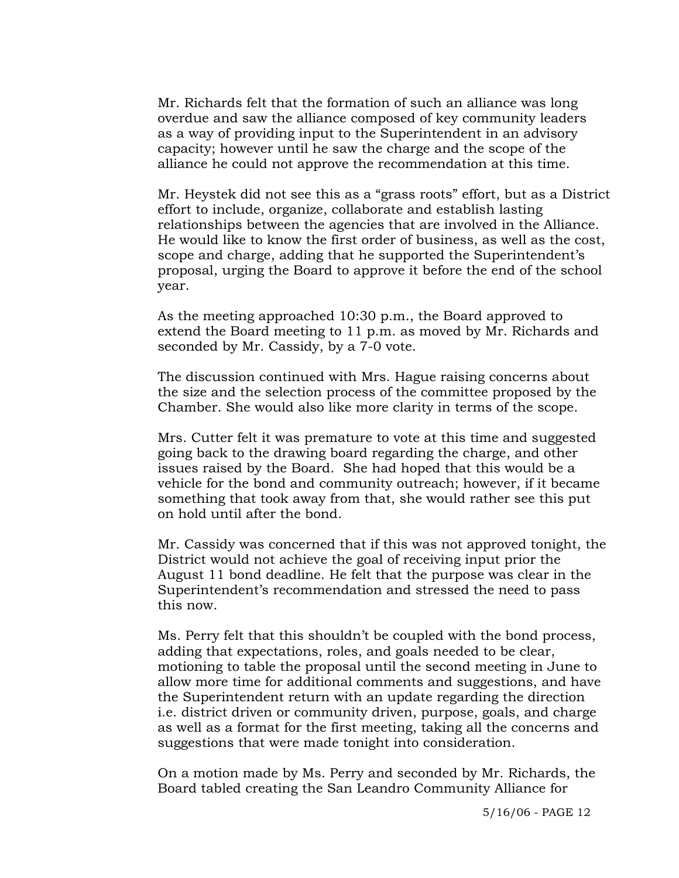Mr. Richards felt that the formation of such an alliance was long overdue and saw the alliance composed of key community leaders as a way of providing input to the Superintendent in an advisory capacity; however until he saw the charge and the scope of the alliance he could not approve the recommendation at this time.

Mr. Heystek did not see this as a "grass roots" effort, but as a District effort to include, organize, collaborate and establish lasting relationships between the agencies that are involved in the Alliance. He would like to know the first order of business, as well as the cost, scope and charge, adding that he supported the Superintendent's proposal, urging the Board to approve it before the end of the school year.

As the meeting approached 10:30 p.m., the Board approved to extend the Board meeting to 11 p.m. as moved by Mr. Richards and seconded by Mr. Cassidy, by a 7-0 vote.

The discussion continued with Mrs. Hague raising concerns about the size and the selection process of the committee proposed by the Chamber. She would also like more clarity in terms of the scope.

Mrs. Cutter felt it was premature to vote at this time and suggested going back to the drawing board regarding the charge, and other issues raised by the Board. She had hoped that this would be a vehicle for the bond and community outreach; however, if it became something that took away from that, she would rather see this put on hold until after the bond.

Mr. Cassidy was concerned that if this was not approved tonight, the District would not achieve the goal of receiving input prior the August 11 bond deadline. He felt that the purpose was clear in the Superintendent's recommendation and stressed the need to pass this now.

Ms. Perry felt that this shouldn't be coupled with the bond process, adding that expectations, roles, and goals needed to be clear, motioning to table the proposal until the second meeting in June to allow more time for additional comments and suggestions, and have the Superintendent return with an update regarding the direction i.e. district driven or community driven, purpose, goals, and charge as well as a format for the first meeting, taking all the concerns and suggestions that were made tonight into consideration.

On a motion made by Ms. Perry and seconded by Mr. Richards, the Board tabled creating the San Leandro Community Alliance for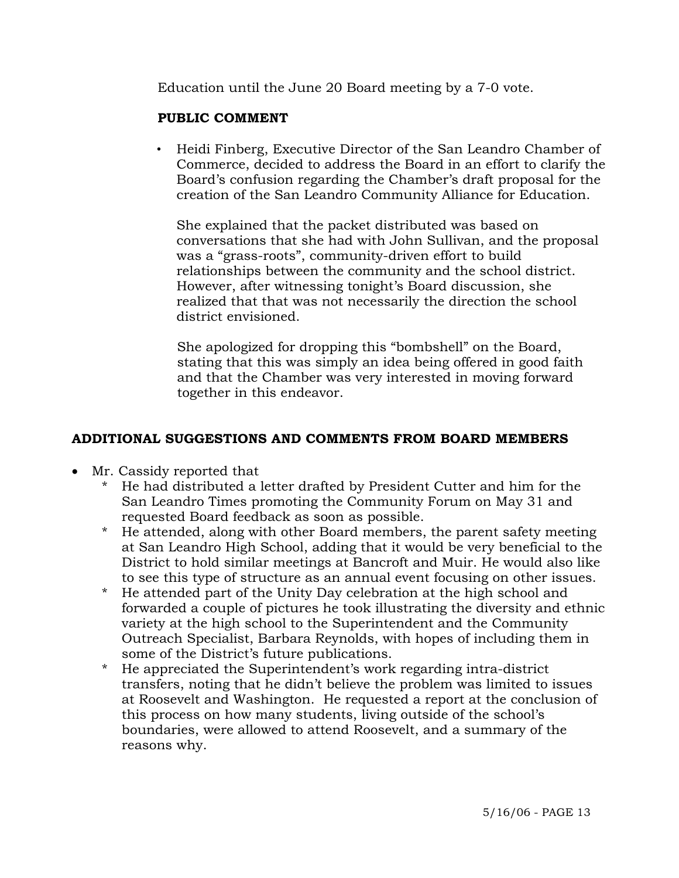Education until the June 20 Board meeting by a 7-0 vote.

# **PUBLIC COMMENT**

• Heidi Finberg, Executive Director of the San Leandro Chamber of Commerce, decided to address the Board in an effort to clarify the Board's confusion regarding the Chamber's draft proposal for the creation of the San Leandro Community Alliance for Education.

 She explained that the packet distributed was based on conversations that she had with John Sullivan, and the proposal was a "grass-roots", community-driven effort to build relationships between the community and the school district. However, after witnessing tonight's Board discussion, she realized that that was not necessarily the direction the school district envisioned.

 She apologized for dropping this "bombshell" on the Board, stating that this was simply an idea being offered in good faith and that the Chamber was very interested in moving forward together in this endeavor.

# **ADDITIONAL SUGGESTIONS AND COMMENTS FROM BOARD MEMBERS**

- Mr. Cassidy reported that
	- \* He had distributed a letter drafted by President Cutter and him for the San Leandro Times promoting the Community Forum on May 31 and requested Board feedback as soon as possible.
	- \* He attended, along with other Board members, the parent safety meeting at San Leandro High School, adding that it would be very beneficial to the District to hold similar meetings at Bancroft and Muir. He would also like to see this type of structure as an annual event focusing on other issues.
	- \* He attended part of the Unity Day celebration at the high school and forwarded a couple of pictures he took illustrating the diversity and ethnic variety at the high school to the Superintendent and the Community Outreach Specialist, Barbara Reynolds, with hopes of including them in some of the District's future publications.
	- \* He appreciated the Superintendent's work regarding intra-district transfers, noting that he didn't believe the problem was limited to issues at Roosevelt and Washington. He requested a report at the conclusion of this process on how many students, living outside of the school's boundaries, were allowed to attend Roosevelt, and a summary of the reasons why.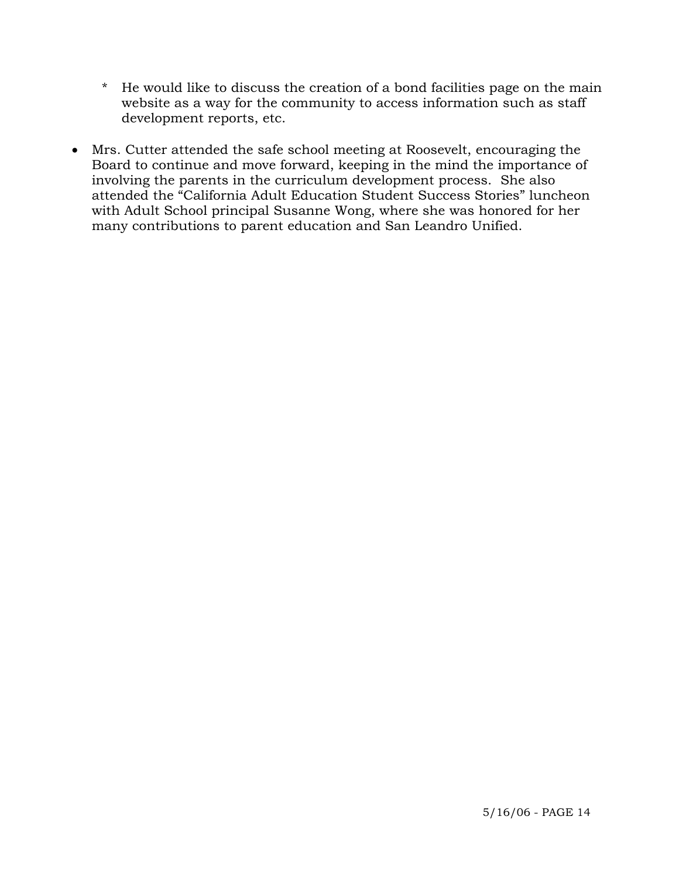- \* He would like to discuss the creation of a bond facilities page on the main website as a way for the community to access information such as staff development reports, etc.
- Mrs. Cutter attended the safe school meeting at Roosevelt, encouraging the Board to continue and move forward, keeping in the mind the importance of involving the parents in the curriculum development process. She also attended the "California Adult Education Student Success Stories" luncheon with Adult School principal Susanne Wong, where she was honored for her many contributions to parent education and San Leandro Unified.